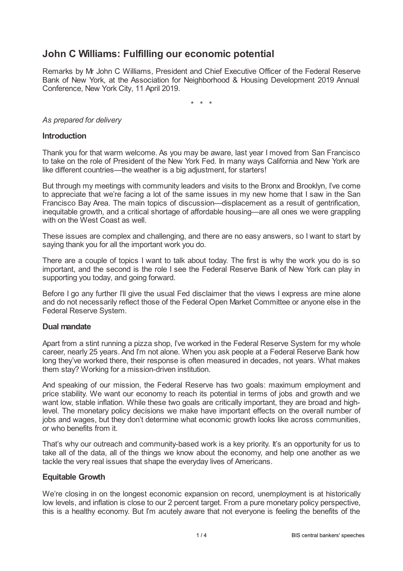# **John C Williams: Fulfilling our economic potential**

Remarks by Mr John C Williams, President and Chief Executive Officer of the Federal Reserve Bank of New York, at the Association for Neighborhood & Housing Development 2019 Annual Conference, New York City, 11 April 2019.

\* \* \*

## *As prepared for delivery*

## **Introduction**

Thank you for that warm welcome. As you may be aware, last year I moved from San Francisco to take on the role of President of the New York Fed. In many ways California and New York are like different countries—the weather is a big adjustment, for starters!

But through my meetings with community leaders and visits to the Bronx and Brooklyn, I've come to appreciate that we're facing a lot of the same issues in my new home that I saw in the San Francisco Bay Area. The main topics of discussion—displacement as a result of gentrification, inequitable growth, and a critical shortage of affordable housing—are all ones we were grappling with on the West Coast as well.

These issues are complex and challenging, and there are no easy answers, so I want to start by saying thank you for all the important work you do.

There are a couple of topics I want to talk about today. The first is why the work you do is so important, and the second is the role I see the Federal Reserve Bank of New York can play in supporting you today, and going forward.

Before I go any further I'll give the usual Fed disclaimer that the views I express are mine alone and do not necessarily reflect those of the Federal Open Market Committee or anyone else in the Federal Reserve System.

#### **Dual mandate**

Apart from a stint running a pizza shop, I've worked in the Federal Reserve System for my whole career, nearly 25 years. And I'm not alone. When you ask people at a Federal Reserve Bank how long they've worked there, their response is often measured in decades, not years. What makes them stay? Working for a mission-driven institution.

And speaking of our mission, the Federal Reserve has two goals: maximum employment and price stability. We want our economy to reach its potential in terms of jobs and growth and we want low, stable inflation. While these two goals are critically important, they are broad and highlevel. The monetary policy decisions we make have important effects on the overall number of jobs and wages, but they don't determine what economic growth looks like across communities, or who benefits from it.

That's why our outreach and community-based work is a key priority. It's an opportunity for us to take all of the data, all of the things we know about the economy, and help one another as we tackle the very real issues that shape the everyday lives of Americans.

#### **Equitable Growth**

We're closing in on the longest economic expansion on record, unemployment is at historically low levels, and inflation is close to our 2 percent target. From a pure monetary policy perspective, this is a healthy economy. But I'm acutely aware that not everyone is feeling the benefits of the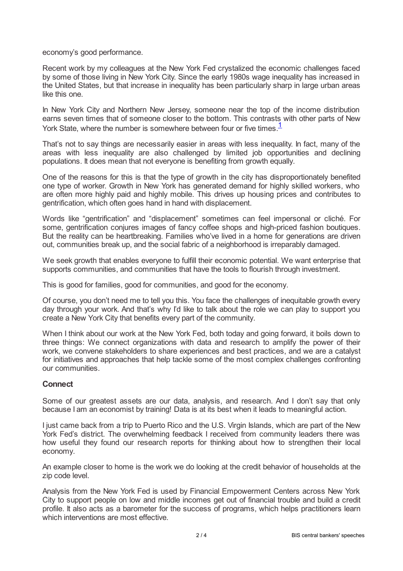economy's good performance.

Recent work by my colleagues at the New York Fed crystalized the economic challenges faced by some of those living in New York City. Since the early 1980s wage inequality has increased in the United States, but that increase in inequality has been particularly sharp in large urban areas like this one.

In New York City and Northern New Jersey, someone near the top of the income distribution earns seven times that of someone closer to the bottom. This contrasts with other parts of New York State, where the number is somewhere between four or five times.<sup>[1](#page-3-0)</sup>

<span id="page-1-0"></span>That's not to say things are necessarily easier in areas with less inequality. In fact, many of the areas with less inequality are also challenged by limited job opportunities and declining populations. It does mean that not everyone is benefiting from growth equally.

One of the reasons for this is that the type of growth in the city has disproportionately benefited one type of worker. Growth in New York has generated demand for highly skilled workers, who are often more highly paid and highly mobile. This drives up housing prices and contributes to gentrification, which often goes hand in hand with displacement.

Words like "gentrification" and "displacement" sometimes can feel impersonal or cliché. For some, gentrification conjures images of fancy coffee shops and high-priced fashion boutiques. But the reality can be heartbreaking. Families who've lived in a home for generations are driven out, communities break up, and the social fabric of a neighborhood is irreparably damaged.

We seek growth that enables everyone to fulfill their economic potential. We want enterprise that supports communities, and communities that have the tools to flourish through investment.

This is good for families, good for communities, and good for the economy.

Of course, you don't need me to tell you this. You face the challenges of inequitable growth every day through your work. And that's why I'd like to talk about the role we can play to support you create a New York City that benefits every part of the community.

When I think about our work at the New York Fed, both today and going forward, it boils down to three things: We connect organizations with data and research to amplify the power of their work, we convene stakeholders to share experiences and best practices, and we are a catalyst for initiatives and approaches that help tackle some of the most complex challenges confronting our communities.

#### **Connect**

Some of our greatest assets are our data, analysis, and research. And I don't say that only because I am an economist by training! Data is at its best when it leads to meaningful action.

I just came back from a trip to Puerto Rico and the U.S. Virgin Islands, which are part of the New York Fed's district. The overwhelming feedback I received from community leaders there was how useful they found our research reports for thinking about how to strengthen their local economy.

An example closer to home is the work we do looking at the credit behavior of households at the zip code level.

Analysis from the New York Fed is used by Financial Empowerment Centers across New York City to support people on low and middle incomes get out of financial trouble and build a credit profile. It also acts as a barometer for the success of programs, which helps practitioners learn which interventions are most effective.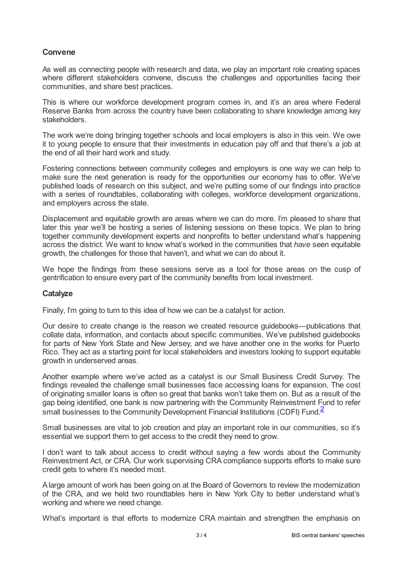# **Convene**

As well as connecting people with research and data, we play an important role creating spaces where different stakeholders convene, discuss the challenges and opportunities facing their communities, and share best practices.

This is where our workforce development program comes in, and it's an area where Federal Reserve Banks from across the country have been collaborating to share knowledge among key stakeholders.

The work we're doing bringing together schools and local employers is also in this vein. We owe it to young people to ensure that their investments in education pay off and that there's a job at the end of all their hard work and study.

Fostering connections between community colleges and employers is one way we can help to make sure the next generation is ready for the opportunities our economy has to offer. We've published loads of research on this subject, and we're putting some of our findings into practice with a series of roundtables, collaborating with colleges, workforce development organizations, and employers across the state.

Displacement and equitable growth are areas where we can do more. I'm pleased to share that later this year we'll be hosting a series of listening sessions on these topics. We plan to bring together community development experts and nonprofits to better understand what's happening across the district. We want to know what's worked in the communities that *have* seen equitable growth, the challenges for those that haven't, and what we can do about it.

We hope the findings from these sessions serve as a tool for those areas on the cusp of gentrification to ensure every part of the community benefits from local investment.

# **Catalyze**

Finally, I'm going to turn to this idea of how we can be a catalyst for action.

Our desire to create change is the reason we created resource guidebooks—publications that collate data, information, and contacts about specific communities. We've published guidebooks for parts of New York State and New Jersey, and we have another one in the works for Puerto Rico. They act as a starting point for local stakeholders and investors looking to support equitable growth in underserved areas.

Another example where we've acted as a catalyst is our Small Business Credit Survey. The findings revealed the challenge small businesses face accessing loans for expansion. The cost of originating smaller loans is often so great that banks won't take them on. But as a result of the gap being identified, one bank is now partnering with the Community Reinvestment Fund to refer  $\frac{3}{5}$  mall businesses to the Community Development Financial Institutions (CDFI) Fund.<sup>[2](#page-3-1)</sup>

<span id="page-2-0"></span>Small businesses are vital to job creation and play an important role in our communities, so it's essential we support them to get access to the credit they need to grow.

I don't want to talk about access to credit without saying a few words about the Community Reinvestment Act, or CRA. Our work supervising CRA compliance supports efforts to make sure credit gets to where it's needed most.

Alarge amount of work has been going on at the Board of Governors to review the modernization of the CRA, and we held two roundtables here in New York City to better understand what's working and where we need change.

What's important is that efforts to modernize CRA maintain and strengthen the emphasis on